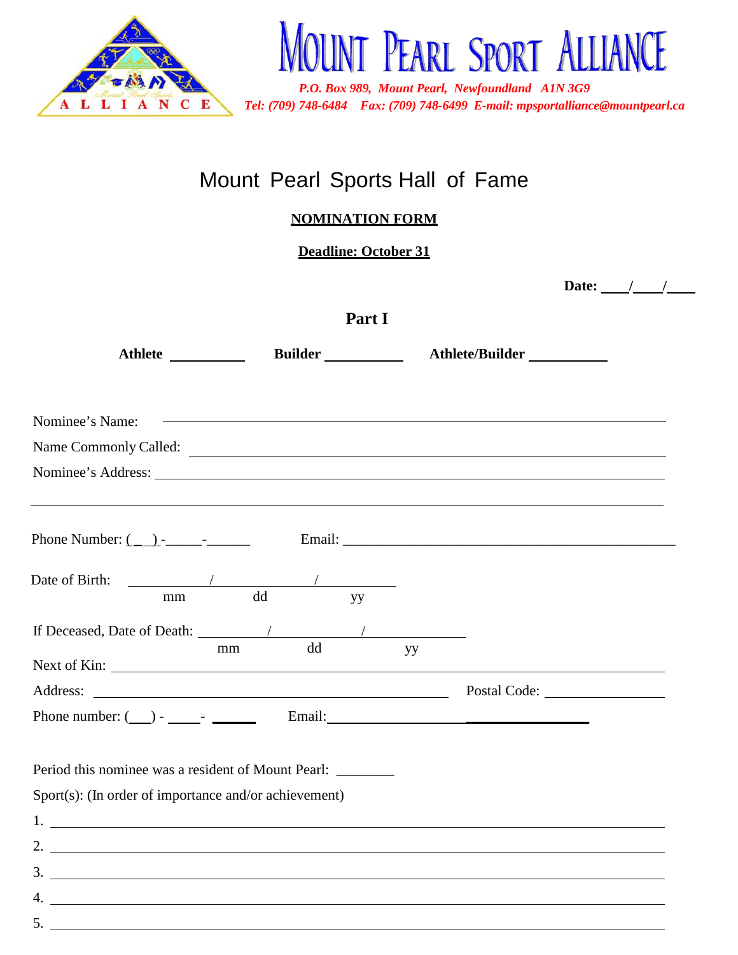

# Mount Pearl Sports Hall of Fame

**NOMINATION FORM**

**Deadline: October 31**

|                                                                                                                                                                                                                                |                                                                        |    |                                                                     | Date: $/$ / |  |
|--------------------------------------------------------------------------------------------------------------------------------------------------------------------------------------------------------------------------------|------------------------------------------------------------------------|----|---------------------------------------------------------------------|-------------|--|
| Part I                                                                                                                                                                                                                         |                                                                        |    |                                                                     |             |  |
|                                                                                                                                                                                                                                |                                                                        |    | Athlete _____________ Builder ___________ Athlete/Builder _________ |             |  |
| Nominee's Name:                                                                                                                                                                                                                |                                                                        |    | <u> 1989 - Andrea Stadt Britain, amerikansk politik (* 1958)</u>    |             |  |
|                                                                                                                                                                                                                                |                                                                        |    |                                                                     |             |  |
| Nominee's Address: Lawrence and the state of the state of the state of the state of the state of the state of the state of the state of the state of the state of the state of the state of the state of the state of the stat |                                                                        |    |                                                                     |             |  |
| Phone Number: $($ $)$ - - $)$ - $\qquad$ - $\qquad$ Email: $\qquad$ Email: $\qquad$                                                                                                                                            |                                                                        |    |                                                                     |             |  |
| Date of Birth:<br>mm                                                                                                                                                                                                           | $\frac{1}{\sqrt{1-\frac{1}{2}}\left(1-\frac{1}{2}\right)}$<br>dd<br>yy |    |                                                                     |             |  |
| mm                                                                                                                                                                                                                             | dd                                                                     | yу |                                                                     |             |  |
|                                                                                                                                                                                                                                |                                                                        |    |                                                                     |             |  |
|                                                                                                                                                                                                                                |                                                                        |    |                                                                     |             |  |
| Period this nominee was a resident of Mount Pearl: _______                                                                                                                                                                     |                                                                        |    |                                                                     |             |  |
| $Spot(s)$ : (In order of importance and/or achievement)                                                                                                                                                                        |                                                                        |    |                                                                     |             |  |
| 1.                                                                                                                                                                                                                             |                                                                        |    |                                                                     |             |  |
| 2. $\qquad \qquad$                                                                                                                                                                                                             |                                                                        |    |                                                                     |             |  |
| $\frac{3}{2}$                                                                                                                                                                                                                  |                                                                        |    |                                                                     |             |  |
|                                                                                                                                                                                                                                |                                                                        |    |                                                                     |             |  |
| 5.                                                                                                                                                                                                                             |                                                                        |    |                                                                     |             |  |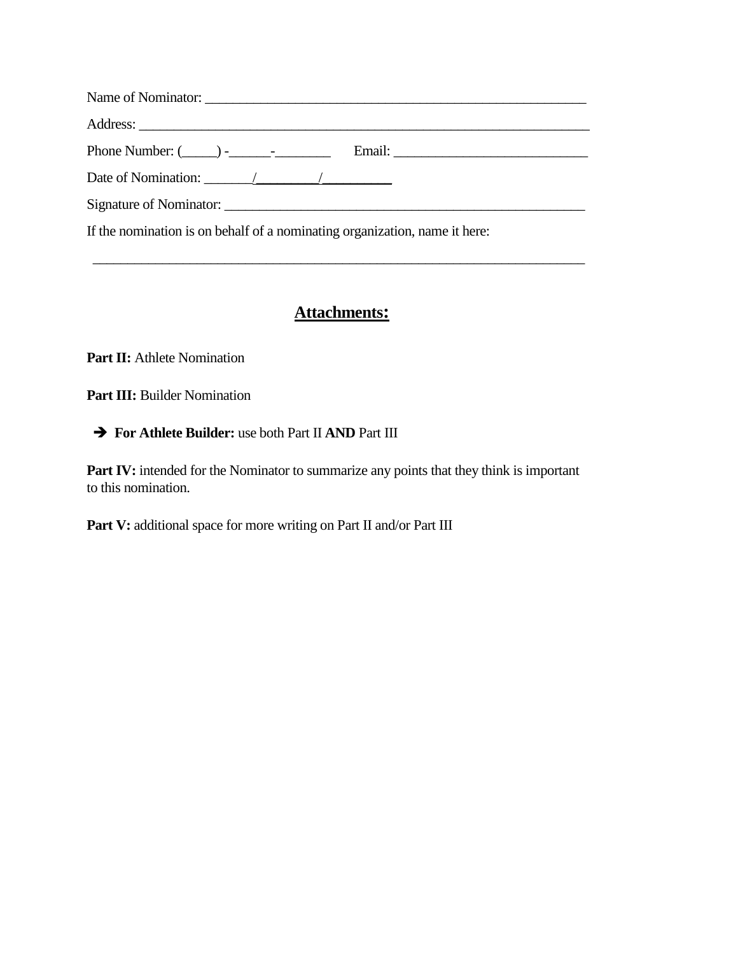| Phone Number: $(\_\_\_\_\$ - $\_\_\_\_\$ |  |
|------------------------------------------|--|
| Date of Nomination: $\angle$             |  |
|                                          |  |
|                                          |  |

If the nomination is on behalf of a nominating organization, name it here:

### **Attachments:**

\_\_\_\_\_\_\_\_\_\_\_\_\_\_\_\_\_\_\_\_\_\_\_\_\_\_\_\_\_\_\_\_\_\_\_\_\_\_\_\_\_\_\_\_\_\_\_\_\_\_\_\_\_\_\_\_\_\_\_\_\_\_\_\_\_\_\_\_\_\_\_

Part **II:** Athlete Nomination

**Part III:** Builder Nomination

#### **For Athlete Builder:** use both Part II **AND** Part III

Part IV: intended for the Nominator to summarize any points that they think is important to this nomination.

Part V: additional space for more writing on Part II and/or Part III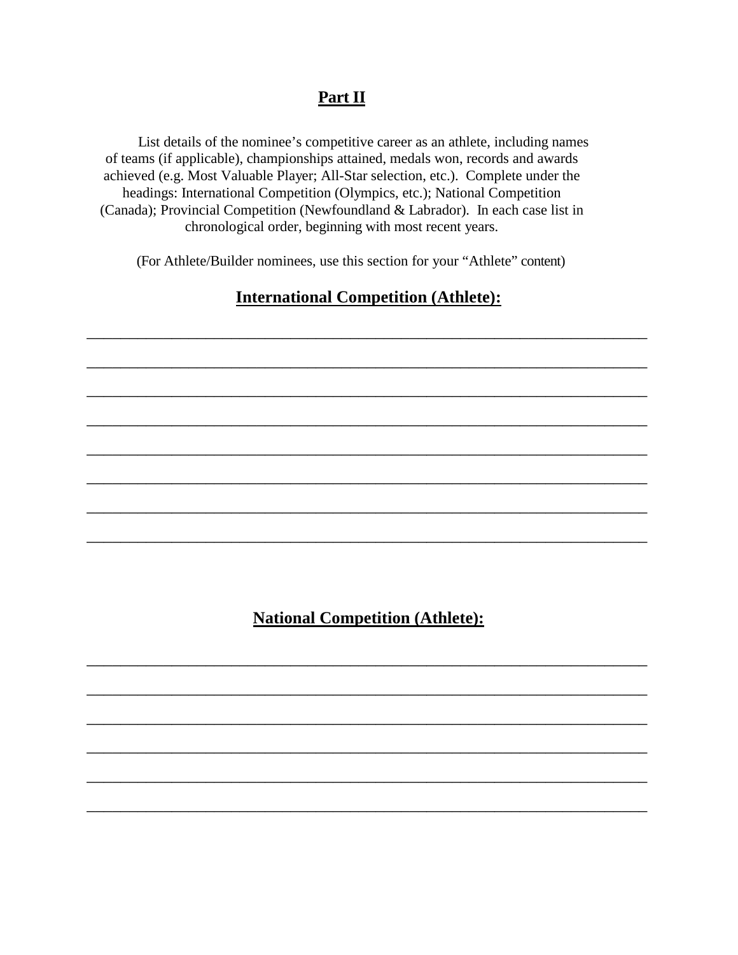# **Part II**

 List details of the nominee's competitive career as an athlete, including names of teams (if applicable), championships attained, medals won, records and awards achieved (e.g. Most Valuable Player; All-Star selection, etc.). Complete under the headings: International Competition (Olympics, etc.); National Competition (Canada); Provincial Competition (Newfoundland & Labrador). In each case list in chronological order, beginning with most recent years.

(For Athlete/Builder nominees, use this section for your "Athlete" content)

## **International Competition (Athlete):**

\_\_\_\_\_\_\_\_\_\_\_\_\_\_\_\_\_\_\_\_\_\_\_\_\_\_\_\_\_\_\_\_\_\_\_\_\_\_\_\_\_\_\_\_\_\_\_\_\_\_\_\_\_\_\_\_\_\_\_\_\_\_\_\_\_\_

\_\_\_\_\_\_\_\_\_\_\_\_\_\_\_\_\_\_\_\_\_\_\_\_\_\_\_\_\_\_\_\_\_\_\_\_\_\_\_\_\_\_\_\_\_\_\_\_\_\_\_\_\_\_\_\_\_\_\_\_\_\_\_\_\_\_

\_\_\_\_\_\_\_\_\_\_\_\_\_\_\_\_\_\_\_\_\_\_\_\_\_\_\_\_\_\_\_\_\_\_\_\_\_\_\_\_\_\_\_\_\_\_\_\_\_\_\_\_\_\_\_\_\_\_\_\_\_\_\_\_\_\_

\_\_\_\_\_\_\_\_\_\_\_\_\_\_\_\_\_\_\_\_\_\_\_\_\_\_\_\_\_\_\_\_\_\_\_\_\_\_\_\_\_\_\_\_\_\_\_\_\_\_\_\_\_\_\_\_\_\_\_\_\_\_\_\_\_\_

\_\_\_\_\_\_\_\_\_\_\_\_\_\_\_\_\_\_\_\_\_\_\_\_\_\_\_\_\_\_\_\_\_\_\_\_\_\_\_\_\_\_\_\_\_\_\_\_\_\_\_\_\_\_\_\_\_\_\_\_\_\_\_\_\_\_

\_\_\_\_\_\_\_\_\_\_\_\_\_\_\_\_\_\_\_\_\_\_\_\_\_\_\_\_\_\_\_\_\_\_\_\_\_\_\_\_\_\_\_\_\_\_\_\_\_\_\_\_\_\_\_\_\_\_\_\_\_\_\_\_\_\_

\_\_\_\_\_\_\_\_\_\_\_\_\_\_\_\_\_\_\_\_\_\_\_\_\_\_\_\_\_\_\_\_\_\_\_\_\_\_\_\_\_\_\_\_\_\_\_\_\_\_\_\_\_\_\_\_\_\_\_\_\_\_\_\_\_\_

\_\_\_\_\_\_\_\_\_\_\_\_\_\_\_\_\_\_\_\_\_\_\_\_\_\_\_\_\_\_\_\_\_\_\_\_\_\_\_\_\_\_\_\_\_\_\_\_\_\_\_\_\_\_\_\_\_\_\_\_\_\_\_\_\_\_

### **National Competition (Athlete):**

\_\_\_\_\_\_\_\_\_\_\_\_\_\_\_\_\_\_\_\_\_\_\_\_\_\_\_\_\_\_\_\_\_\_\_\_\_\_\_\_\_\_\_\_\_\_\_\_\_\_\_\_\_\_\_\_\_\_\_\_\_\_\_\_\_\_

\_\_\_\_\_\_\_\_\_\_\_\_\_\_\_\_\_\_\_\_\_\_\_\_\_\_\_\_\_\_\_\_\_\_\_\_\_\_\_\_\_\_\_\_\_\_\_\_\_\_\_\_\_\_\_\_\_\_\_\_\_\_\_\_\_\_

\_\_\_\_\_\_\_\_\_\_\_\_\_\_\_\_\_\_\_\_\_\_\_\_\_\_\_\_\_\_\_\_\_\_\_\_\_\_\_\_\_\_\_\_\_\_\_\_\_\_\_\_\_\_\_\_\_\_\_\_\_\_\_\_\_\_

\_\_\_\_\_\_\_\_\_\_\_\_\_\_\_\_\_\_\_\_\_\_\_\_\_\_\_\_\_\_\_\_\_\_\_\_\_\_\_\_\_\_\_\_\_\_\_\_\_\_\_\_\_\_\_\_\_\_\_\_\_\_\_\_\_\_

\_\_\_\_\_\_\_\_\_\_\_\_\_\_\_\_\_\_\_\_\_\_\_\_\_\_\_\_\_\_\_\_\_\_\_\_\_\_\_\_\_\_\_\_\_\_\_\_\_\_\_\_\_\_\_\_\_\_\_\_\_\_\_\_\_\_

\_\_\_\_\_\_\_\_\_\_\_\_\_\_\_\_\_\_\_\_\_\_\_\_\_\_\_\_\_\_\_\_\_\_\_\_\_\_\_\_\_\_\_\_\_\_\_\_\_\_\_\_\_\_\_\_\_\_\_\_\_\_\_\_\_\_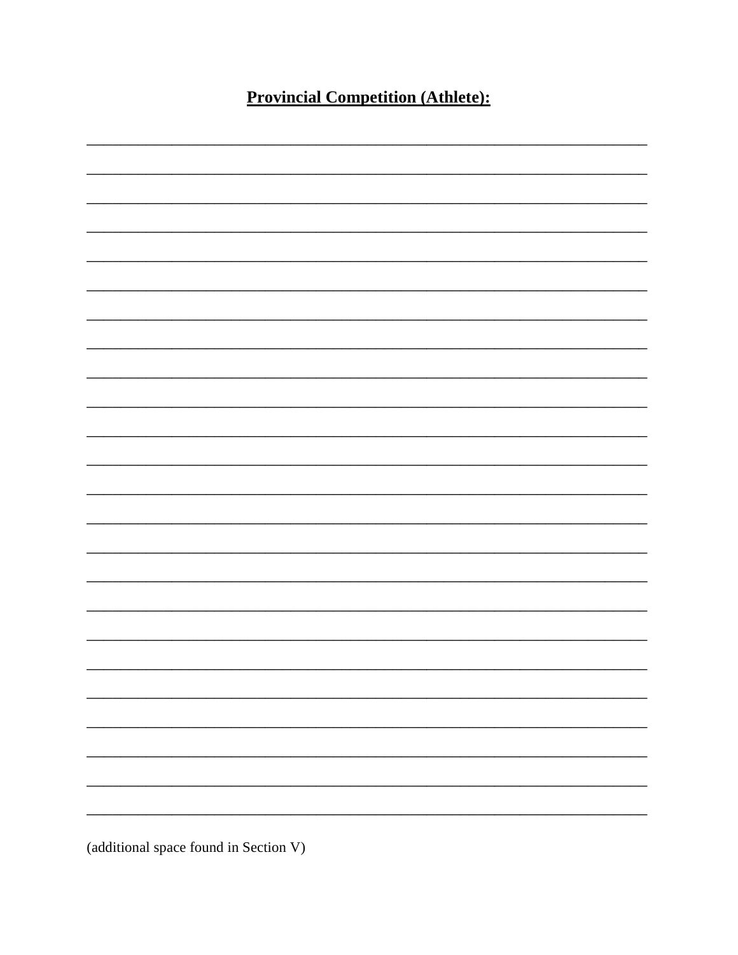**Provincial Competition (Athlete):** 



(additional space found in Section V)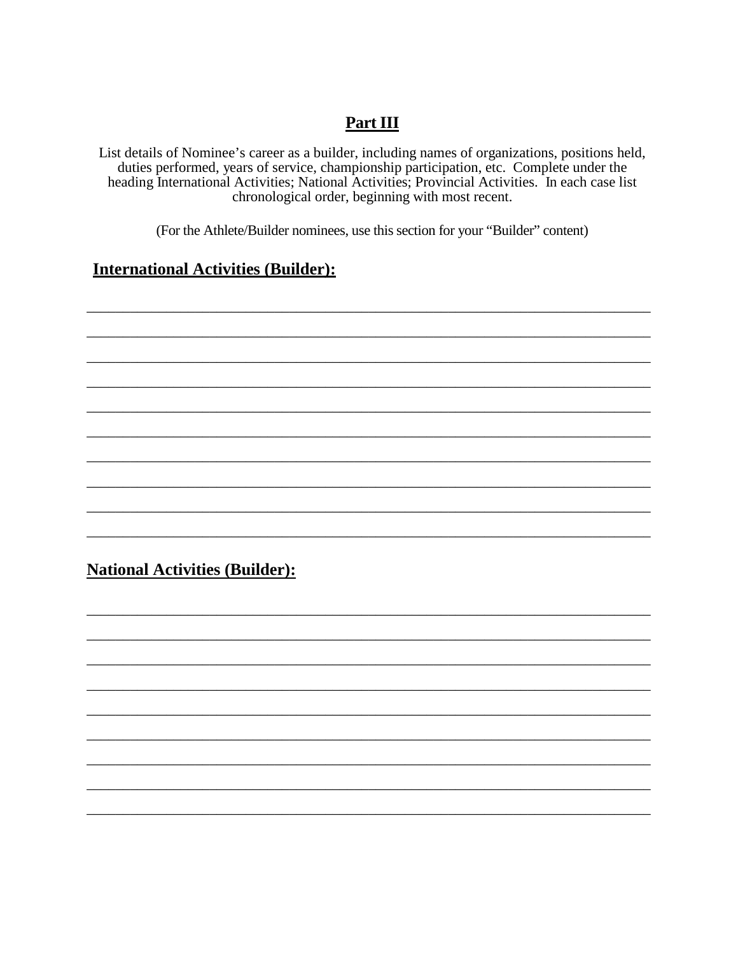## Part III

List details of Nominee's career as a builder, including names of organizations, positions held, duties performed, years of service, championship participation, etc. Complete under the heading International Activities; National Activities; Provincial Activities. In each case list chronological order, beginning with most recent.

(For the Athlete/Builder nominees, use this section for your "Builder" content)

#### **International Activities (Builder):**

# **National Activities (Builder):**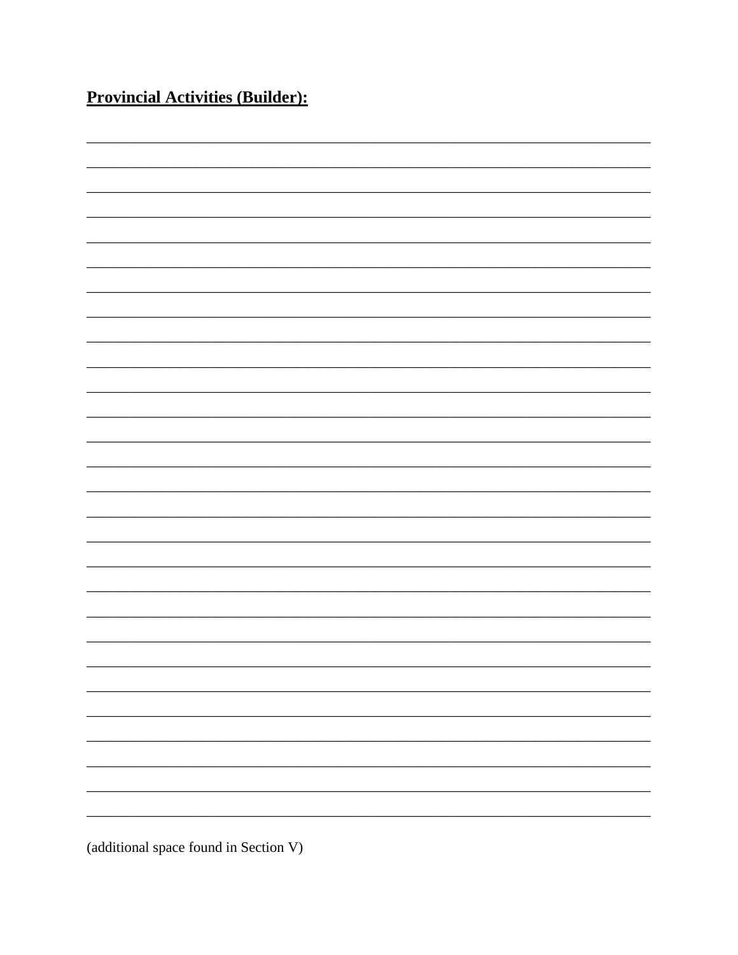**Provincial Activities (Builder):** 

(additional space found in Section V)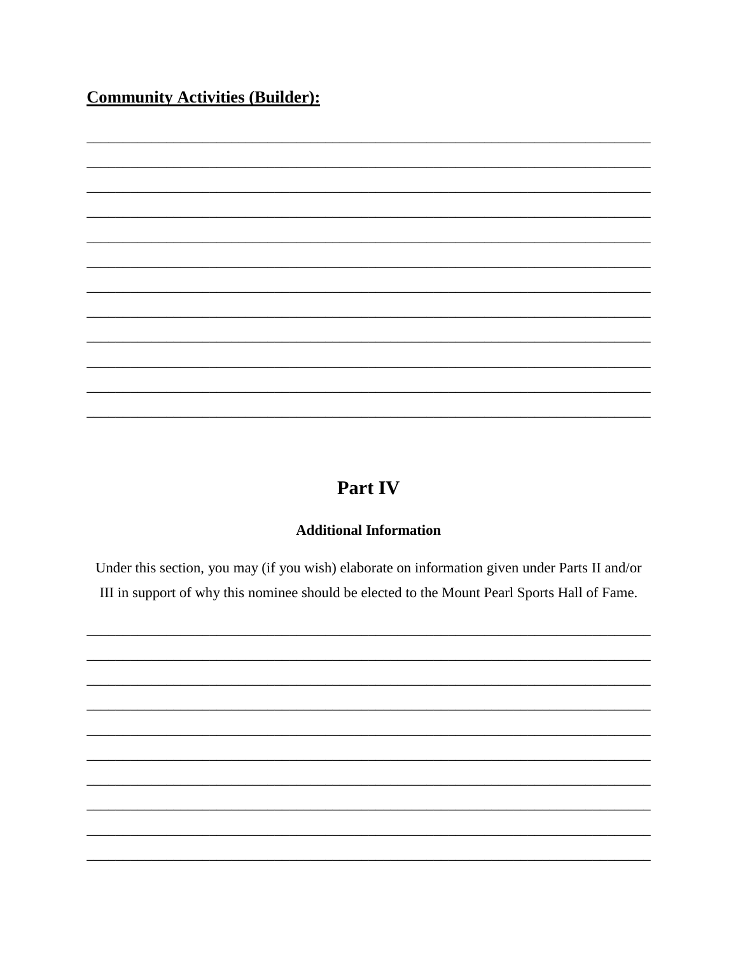# **Community Activities (Builder):**

# Part IV

#### **Additional Information**

Under this section, you may (if you wish) elaborate on information given under Parts II and/or III in support of why this nominee should be elected to the Mount Pearl Sports Hall of Fame.